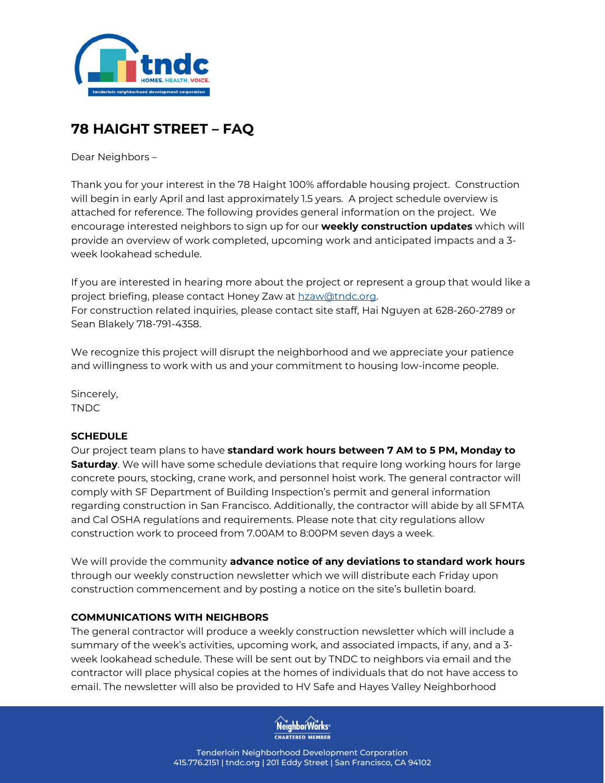

# **78 HAIGHT STREET – FAQ**

Dear Neighbors –

Thank you for your interest in the 78 Haight 100% affordable housing project. Construction will begin in early April and last approximately 1.5 years. A project schedule overview is attached for reference. The following provides general information on the project. We encourage interested neighbors to sign up for our **weekly construction updates** which will provide an overview of work completed, upcoming work and anticipated impacts and a 3 week lookahead schedule.

If you are interested in hearing more about the project or represent a group that would like a project briefing, please contact Honey Zaw at hzaw@tndc.org. For construction related inquiries, please contact site staff, Hai Nguyen at 628-260-2789 or Sean Blakely 718-791-4358.

We recognize this project will disrupt the neighborhood and we appreciate your patience and willingness to work with us and your commitment to housing low-income people.

Sincerely, TNDC

# **SCHEDULE**

Our project team plans to have **standard work hours between 7 AM to 5 PM, Monday to Saturday**. We will have some schedule deviations that require long working hours for large concrete pours, stocking, crane work, and personnel hoist work. The general contractor will comply with SF Department of Building Inspection's permit and general information regarding construction in San Francisco. Additionally, the contractor will abide by all SFMTA and Cal OSHA regulations and requirements. Please note that city regulations allow construction work to proceed from 7.00AM to 8:00PM seven days a week.

We will provide the community **advance notice of any deviations to standard work hours**  through our weekly construction newsletter which we will distribute each Friday upon construction commencement and by posting a notice on the site's bulletin board.

#### **COMMUNICATIONS WITH NEIGHBORS**

The general contractor will produce a weekly construction newsletter which will include a summary of the week's activities, upcoming work, and associated impacts, if any, and a 3 week lookahead schedule. These will be sent out by TNDC to neighbors via email and the contractor will place physical copies at the homes of individuals that do not have access to email. The newsletter will also be provided to HV Safe and Hayes Valley Neighborhood

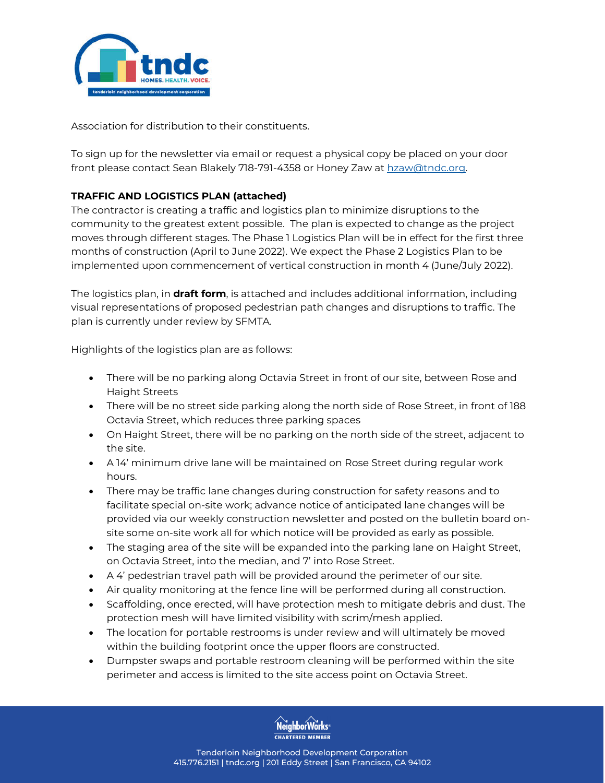

Association for distribution to their constituents.

To sign up for the newsletter via email or request a physical copy be placed on your door front please contact Sean Blakely 718-791-4358 or Honey Zaw at hzaw@tndc.org.

# **TRAFFIC AND LOGISTICS PLAN (attached)**

The contractor is creating a traffic and logistics plan to minimize disruptions to the community to the greatest extent possible. The plan is expected to change as the project moves through different stages. The Phase 1 Logistics Plan will be in effect for the first three months of construction (April to June 2022). We expect the Phase 2 Logistics Plan to be implemented upon commencement of vertical construction in month 4 (June/July 2022).

The logistics plan, in **draft form**, is attached and includes additional information, including visual representations of proposed pedestrian path changes and disruptions to traffic. The plan is currently under review by SFMTA.

Highlights of the logistics plan are as follows:

- There will be no parking along Octavia Street in front of our site, between Rose and Haight Streets
- There will be no street side parking along the north side of Rose Street, in front of 188 Octavia Street, which reduces three parking spaces
- On Haight Street, there will be no parking on the north side of the street, adjacent to the site.
- A 14' minimum drive lane will be maintained on Rose Street during regular work hours.
- There may be traffic lane changes during construction for safety reasons and to facilitate special on-site work; advance notice of anticipated lane changes will be provided via our weekly construction newsletter and posted on the bulletin board onsite some on-site work all for which notice will be provided as early as possible.
- The staging area of the site will be expanded into the parking lane on Haight Street, on Octavia Street, into the median, and 7' into Rose Street.
- A 4' pedestrian travel path will be provided around the perimeter of our site.
- Air quality monitoring at the fence line will be performed during all construction.
- Scaffolding, once erected, will have protection mesh to mitigate debris and dust. The protection mesh will have limited visibility with scrim/mesh applied.
- The location for portable restrooms is under review and will ultimately be moved within the building footprint once the upper floors are constructed.
- Dumpster swaps and portable restroom cleaning will be performed within the site perimeter and access is limited to the site access point on Octavia Street.

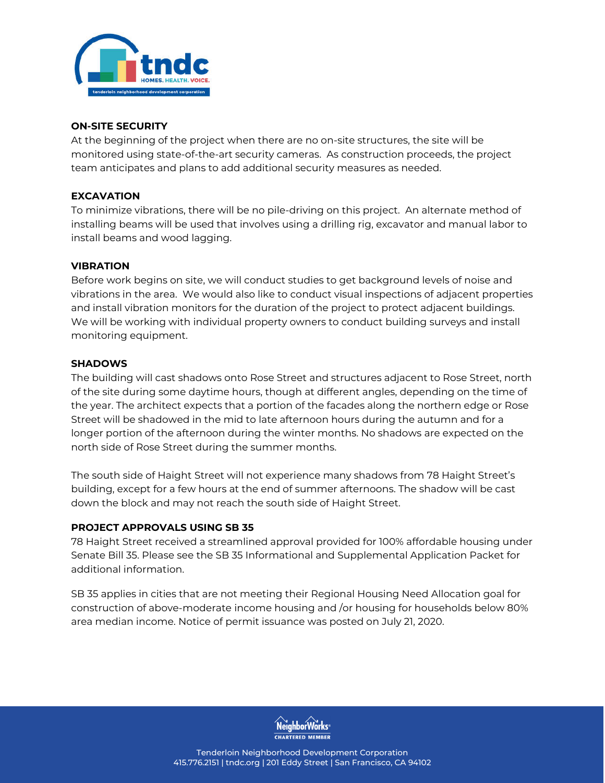

#### **ON-SITE SECURITY**

At the beginning of the project when there are no on-site structures, the site will be monitored using state-of-the-art security cameras. As construction proceeds, the project team anticipates and plans to add additional security measures as needed.

### **EXCAVATION**

To minimize vibrations, there will be no pile-driving on this project. An alternate method of installing beams will be used that involves using a drilling rig, excavator and manual labor to install beams and wood lagging.

### **VIBRATION**

Before work begins on site, we will conduct studies to get background levels of noise and vibrations in the area. We would also like to conduct visual inspections of adjacent properties and install vibration monitors for the duration of the project to protect adjacent buildings. We will be working with individual property owners to conduct building surveys and install monitoring equipment.

### **SHADOWS**

The building will cast shadows onto Rose Street and structures adjacent to Rose Street, north of the site during some daytime hours, though at different angles, depending on the time of the year. The architect expects that a portion of the facades along the northern edge or Rose Street will be shadowed in the mid to late afternoon hours during the autumn and for a longer portion of the afternoon during the winter months. No shadows are expected on the north side of Rose Street during the summer months.

The south side of Haight Street will not experience many shadows from 78 Haight Street's building, except for a few hours at the end of summer afternoons. The shadow will be cast down the block and may not reach the south side of Haight Street.

# **PROJECT APPROVALS USING SB 35**

78 Haight Street received a streamlined approval provided for 100% affordable housing under Senate Bill 35. Please see the SB 35 Informational and Supplemental Application Packet for additional information.

SB 35 applies in cities that are not meeting their Regional Housing Need Allocation goal for construction of above-moderate income housing and /or housing for households below 80% area median income. Notice of permit issuance was posted on July 21, 2020.